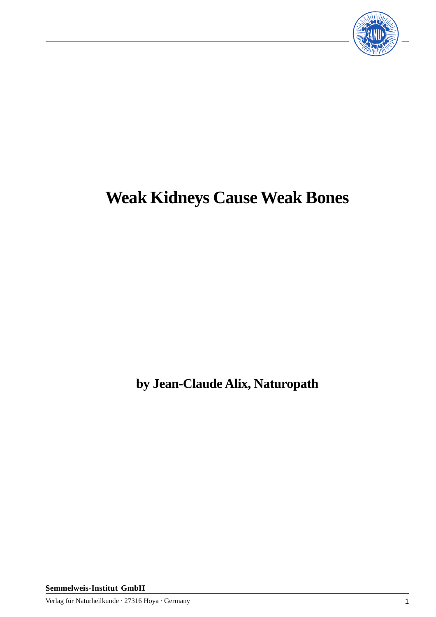

# **Weak Kidneys Cause Weak Bones**

**by Jean-Claude Alix, Naturopath**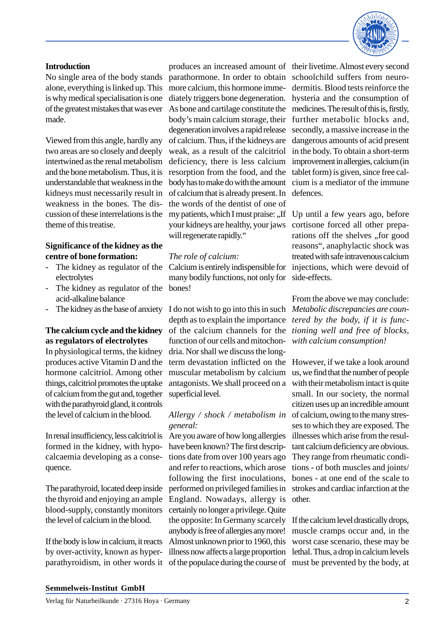

#### **Introduction**

No single area of the body stands alone, everything is linked up. This is why medical specialisation is one of the greatest mistakes that was ever made.

Viewed from this angle, hardly any two areas are so closely and deeply intertwined as the renal metabolism and the bone metabolism. Thus, it is understandable that weakness in the kidneys must necessarily result in weakness in the bones. The discussion of these interrelations is the theme of this treatise.

#### **Significance of the kidney as the centre of bone formation:**

- The kidney as regulator of the electrolytes
- The kidney as regulator of the acid-alkaline balance
- 

#### **The calcium cycle and the kidney as regulators of electrolytes**

In physiological terms, the kidney produces active Vitamin D and the hormone calcitriol. Among other things, calcitriol promotes the uptake of calcium from the gut and, together with the parathyroid gland, it controls the level of calcium in the blood.

In renal insufficiency, less calcitriol is formed in the kidney, with hypocalcaemia developing as a consequence.

The parathyroid, located deep inside the thyroid and enjoying an ample blood-supply, constantly monitors the level of calcium in the blood.

If the body is low in calcium, it reacts by over-activity, known as hyperparathyroidism, in other words it

parathormone. In order to obtain more calcium, this hormone immediately triggers bone degeneration. As bone and cartilage constitute the body's main calcium storage, their degeneration involves a rapid release of calcium. Thus, if the kidneys are weak, as a result of the calcitriol deficiency, there is less calcium resorption from the food, and the body has to make do with the amount of calcium that is already present. In the words of the dentist of one of my patients, which I must praise:  $\cdot$  If your kidneys are healthy, your jaws will regenerate rapidly."

#### *The role of calcium:*

Calcium is entirely indispensible for many bodily functions, not only for bones!

- The kidney as the base of anxiety I do not wish to go into this in such *Metabolic discrepancies are coun*depth as to explain the importance of the calcium channels for the function of our cells and mitochondria. Nor shall we discuss the longterm devastation inflicted on the muscular metabolism by calcium antagonists. We shall proceed on a superficial level.

# *general:*

Are you aware of how long allergies have been known? The first descriptions date from over 100 years ago and refer to reactions, which arose following the first inoculations, performed on privileged families in England. Nowadays, allergy is certainly no longer a privilege. Quite the opposite: In Germany scarcely anybody is free of allergies any more! Almost unknown prior to 1960, this illness now affects a large proportion of the populace during the course of must be prevented by the body, at

produces an increased amount of their livetime. Almost every second schoolchild suffers from neurodermitis. Blood tests reinforce the hysteria and the consumption of medicines. The result of this is, firstly, further metabolic blocks and, secondly, a massive increase in the dangerous amounts of acid present in the body. To obtain a short-term improvement in allergies, calcium (in tablet form) is given, since free calcium is a mediator of the immune defences.

> Up until a few years ago, before cortisone forced all other preparations off the shelves "for good reasons", anaphylactic shock was treated with safe intravenous calcium injections, which were devoid of side-effects.

> From the above we may conclude: *tered by the body, if it is functioning well and free of blocks, with calcium consumption!*

*Allergy / shock / metabolism in* of calcium, owing to the many stres-However, if we take a look around us, we find that the number of people with their metabolism intact is quite small. In our society, the normal citizen uses up an incredible amount ses to which they are exposed. The illnesses which arise from the resultant calcium deficiency are obvious. They range from rheumatic conditions - of both muscles and joints/ bones - at one end of the scale to strokes and cardiac infarction at the other.

> If the calcium level drastically drops, muscle cramps occur and, in the worst case scenario, these may be lethal. Thus, a drop in calcium levels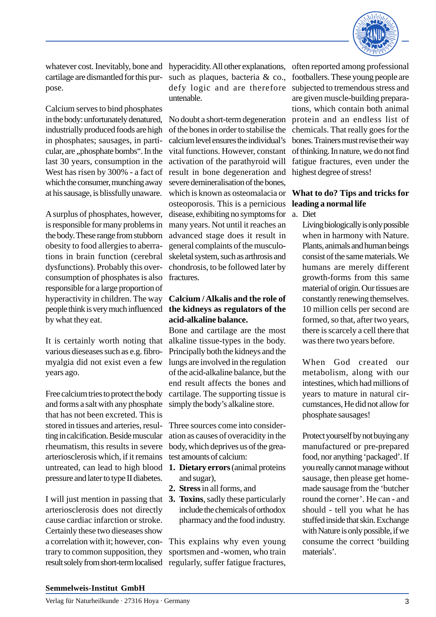

cartilage are dismantled for this purpose.

Calcium serves to bind phosphates in the body: unfortunately denatured, industrially produced foods are high in phosphates; sausages, in particular, are "phosphate bombs". In the last 30 years, consumption in the West has risen by 300% - a fact of which the consumer, munching away at his sausage, is blissfully unaware.

A surplus of phosphates, however, is responsible for many problems in the body. These range from stubborn obesity to food allergies to aberrations in brain function (cerebral dysfunctions). Probably this overconsumption of phosphates is also responsible for a large proportion of hyperactivity in children. The way people think is very much influenced by what they eat.

It is certainly worth noting that various dieseases such as e.g. fibromyalgia did not exist even a few years ago.

Free calcium tries to protect the body and forms a salt with any phosphate that has not been excreted. This is stored in tissues and arteries, resulting in calcification. Beside muscular rheumatism, this results in severe arteriosclerosis which, if it remains untreated, can lead to high blood pressure and later to type II diabetes.

I will just mention in passing that **3. Toxins**, sadly these particularly arteriosclerosis does not directly cause cardiac infarction or stroke. Certainly these two dieseases show a correlation with it; however, contrary to common supposition, they result solely from short-term localised regularly, suffer fatigue fractures,

whatever cost. Inevitably, bone and hyperacidity. All other explanations, such as plaques, bacteria & co., defy logic and are therefore untenable.

> No doubt a short-term degeneration of the bones in order to stabilise the calcium level ensures the individual's vital functions. However, constant activation of the parathyroid will result in bone degeneration and severe demineralisation of the bones, which is known as osteomalacia or osteoporosis. This is a pernicious disease, exhibiting no symptoms for many years. Not until it reaches an advanced stage does it result in general complaints of the musculoskeletal system, such as arthrosis and chondrosis, to be followed later by fractures.

#### **Calcium / Alkalis and the role of the kidneys as regulators of the acid-alkaline balance.**

Bone and cartilage are the most alkaline tissue-types in the body. Principally both the kidneys and the lungs are involved in the regulation of the acid-alkaline balance, but the end result affects the bones and cartilage. The supporting tissue is simply the body's alkaline store.

Three sources come into consideration as causes of overacidity in the body, which deprives us of the greatest amounts of calcium:

- **1. Dietary errors** (animal proteins and sugar),
- **2. Stress** in all forms, and
- include the chemicals of orthodox pharmacy and the food industry.

This explains why even young sportsmen and -women, who train

often reported among professional footballers. These young people are subjected to tremendous stress and are given muscle-building preparations, which contain both animal protein and an endless list of chemicals. That really goes for the bones. Trainers must revise their way of thinking. In nature, we do not find fatigue fractures, even under the highest degree of stress!

### **What to do? Tips and tricks for leading a normal life**

a. Diet

Living biologically is only possible when in harmony with Nature. Plants, animals and human beings consist of the same materials. We humans are merely different growth-forms from this same material of origin. Our tissues are constantly renewing themselves. 10 million cells per second are formed, so that, after two years, there is scarcely a cell there that was there two years before.

When God created our metabolism, along with our intestines, which had millions of years to mature in natural circumstances, He did not allow for phosphate sausages!

Protect yourself by not buying any manufactured or pre-prepared food, nor anything 'packaged'. If you really cannot manage without sausage, then please get homemade sausage from the 'butcher round the corner'. He can - and should - tell you what he has stuffed inside that skin. Exchange with Nature is only possible, if we consume the correct 'building materials'.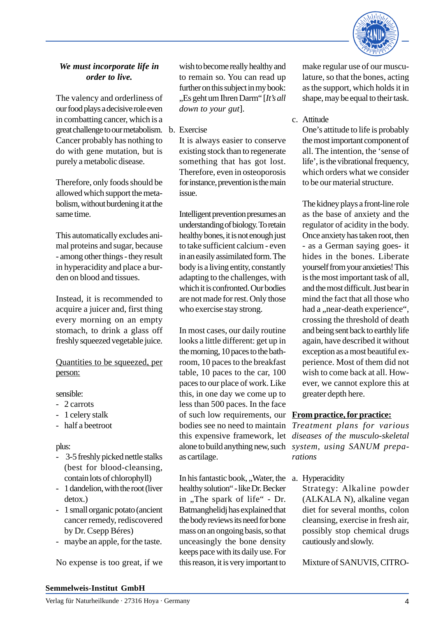

### *We must incorporate life in order to live.*

The valency and orderliness of our food plays a decisive role even in combatting cancer, which is a great challenge to our metabolism. b. Exercise Cancer probably has nothing to do with gene mutation, but is purely a metabolic disease.

Therefore, only foods should be allowed which support the metabolism, without burdening it at the same time.

This automatically excludes animal proteins and sugar, because - among other things - they result in hyperacidity and place a burden on blood and tissues.

Instead, it is recommended to acquire a juicer and, first thing every morning on an empty stomach, to drink a glass off freshly squeezed vegetable juice.

Quantities to be squeezed, per person:

#### sensible:

- 2 carrots
- 1 celery stalk
- half a beetroot

plus:

- 3-5 freshly picked nettle stalks (best for blood-cleansing, contain lots of chlorophyll)
- 1 dandelion, with the root (liver detox.)
- 1 small organic potato (ancient cancer remedy, rediscovered by Dr. Csepp Béres)
- maybe an apple, for the taste.

No expense is too great, if we

wish to become really healthy and to remain so. You can read up further on this subject in my book: "Es geht um Ihren Darm" [*It's all down to your gut*].

It is always easier to conserve existing stock than to regenerate something that has got lost. Therefore, even in osteoporosis for instance, prevention is the main issue.

Intelligent prevention presumes an understanding of biology. To retain healthy bones, it is not enough just to take sufficient calcium - even in an easily assimilated form. The body is a living entity, constantly adapting to the challenges, with which it is confronted. Our bodies are not made for rest. Only those who exercise stay strong.

In most cases, our daily routine looks a little different: get up in the morning, 10 paces to the bathroom, 10 paces to the breakfast table, 10 paces to the car, 100 paces to our place of work. Like this, in one day we come up to less than 500 paces. In the face of such low requirements, our bodies see no need to maintain this expensive framework, let as cartilage.

In his fantastic book, "Water, the a. Hyperacidity healthy solution" - like Dr. Becker in "The spark of life" - Dr. Batmanghelidj has explained that the body reviews its need for bone mass on an ongoing basis, so that unceasingly the bone density keeps pace with its daily use. For this reason, it is very important to

make regular use of our musculature, so that the bones, acting as the support, which holds it in shape, may be equal to their task.

c. Attitude

One's attitude to life is probably the most important component of all. The intention, the 'sense of life', is the vibrational frequency, which orders what we consider to be our material structure.

The kidney plays a front-line role as the base of anxiety and the regulator of acidity in the body. Once anxiety has taken root, then - as a German saying goes- it hides in the bones. Liberate yourself from your anxieties! This is the most important task of all, and the most difficult. Just bear in mind the fact that all those who had a "near-death experience", crossing the threshold of death and being sent back to earthly life again, have described it without exception as a most beautiful experience. Most of them did not wish to come back at all. However, we cannot explore this at greater depth here.

#### **From practice, for practice:**

alone to build anything new, such *system, using SANUM prepa-Treatment plans for various diseases of the musculo-skeletal rations*

Strategy: Alkaline powder (ALKALA N), alkaline vegan diet for several months, colon cleansing, exercise in fresh air, possibly stop chemical drugs cautiously and slowly.

Mixture of SANUVIS, CITRO-